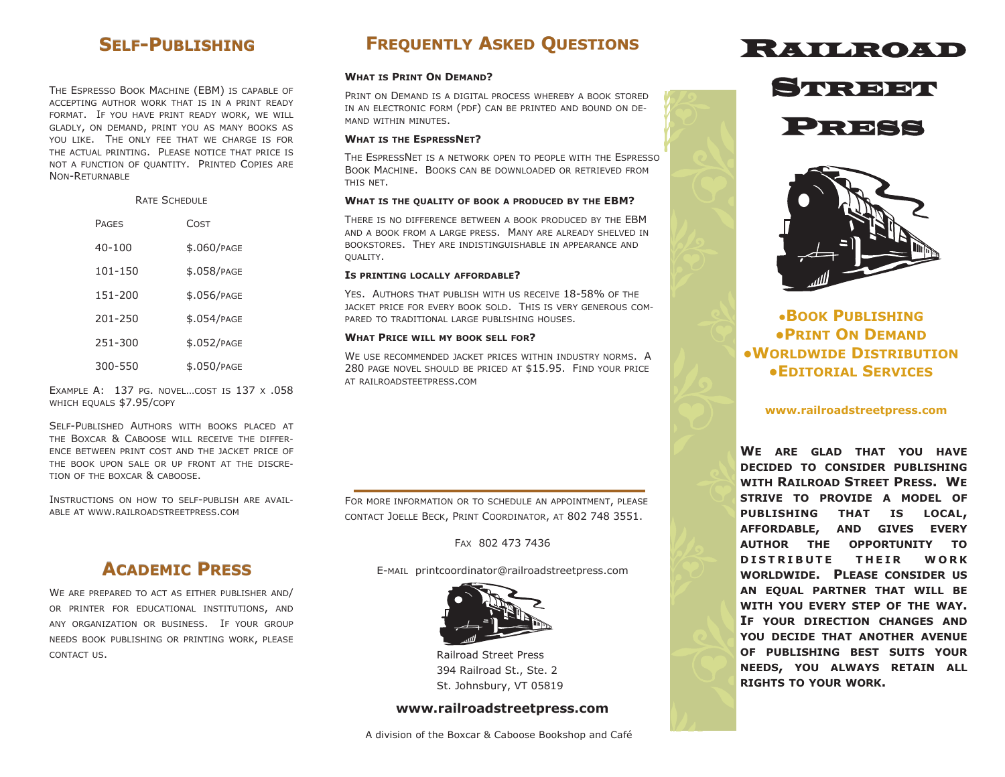# **SELF-PUBLISHING**

THE ESPRESSO BOOK MACHINE (EBM) IS CAPABLE OF ACCEPTING AUTHOR WORK THAT IS IN A PRINT READY FORMAT. IF YOU HAVE PRINT READY WORK, WE WILL GLADLY, ON DEMAND, PRINT YOU AS MANY BOOKS AS YOU LIKE. THE ONLY FEE THAT WE CHARGE IS FOR THE ACTUAL PRINTING. PLEASE NOTICE THAT PRICE IS NOT A FUNCTION OF QUANTITY. PRINTED COPIES ARE NON-RETURNABLE

> RATE SCHEDULE PAGES COST 40-100 \$.060/PAGE 101-150 \$.058/PAGE 151-200 \$.056/PAGE 201-250 \$.054/PAGE 251-300 \$.052/PAGE 300-550 \$.050/PAGE

EXAMPLE A: 137 PG. NOVEL…COST IS 137 X .058 WHICH EOUALS \$7.95/COPY

SELF-PUBLISHED AUTHORS WITH BOOKS PLACED AT THE BOXCAR & CABOOSE WILL RECEIVE THE DIFFER-ENCE BETWEEN PRINT COST AND THE JACKET PRICE OF THE BOOK UPON SALE OR UP FRONT AT THE DISCRE-TION OF THE BOXCAR & CABOOSE.

INSTRUCTIONS ON HOW TO SELF-PUBLISH ARE AVAIL-ABLE AT WWW.RAILROADSTREETPRESS.COM

# **ACADEMIC PRESS**

WE ARE PREPARED TO ACT AS EITHER PUBLISHER AND/ OR PRINTER FOR EDUCATIONAL INSTITUTIONS, AND ANY ORGANIZATION OR BUSINESS. IF YOUR GROUP NEEDS BOOK PUBLISHING OR PRINTING WORK, PLEASE CONTACT US.

# **FREQUENTLY ASKED QUESTIONS**

### **WHAT IS PRINT ON DEMAND?**

PRINT ON DEMAND IS A DIGITAL PROCESS WHEREBY A BOOK STORED IN AN ELECTRONIC FORM (PDF) CAN BE PRINTED AND BOUND ON DE-MAND WITHIN MINUTES.

### **WHAT IS THE ESPRESSNET?**

THE ESPRESSNET IS A NETWORK OPEN TO PEOPLE WITH THE ESPRESSO BOOK MACHINE. BOOKS CAN BE DOWNLOADED OR RETRIEVED FROM THIS NET.

### **WHAT IS THE QUALITY OF BOOK A PRODUCED BY THE EBM?**

THERE IS NO DIFFERENCE BETWEEN A BOOK PRODUCED BY THE EBM AND A BOOK FROM A LARGE PRESS. MANY ARE ALREADY SHELVED IN BOOKSTORES. THEY ARE INDISTINGUISHABLE IN APPEARANCE AND QUALITY.

### **IS PRINTING LOCALLY AFFORDABLE?**

YES. AUTHORS THAT PUBLISH WITH US RECEIVE 18-58% OF THE JACKET PRICE FOR EVERY BOOK SOLD. THIS IS VERY GENEROUS COM-PARED TO TRADITIONAL LARGE PUBLISHING HOUSES.

### **WHAT PRICE WILL MY BOOK SELL FOR?**

WE USE RECOMMENDED JACKET PRICES WITHIN INDUSTRY NORMS. A 280 PAGE NOVEL SHOULD BE PRICED AT \$15.95. FIND YOUR PRICE AT RAILROADSTEETPRESS.COM

FOR MORE INFORMATION OR TO SCHEDULE AN APPOINTMENT, PLEASE CONTACT JOELLE BECK, PRINT COORDINATOR, AT 802 748 3551.

FAX 802 473 7436

E-MAIL printcoordinator@railroadstreetpress.com



Railroad Street Press 394 Railroad St., Ste. 2 St. Johnsbury, VT 05819

## **www.railroadstreetpress.com**









**●BOOK PUBLISHING ●PRINT ON DEMAND ●WORLDWIDE DISTRIBUTION ●EDITORIAL SERVICES**

### **www.railroadstreetpress.com**

**WE ARE GLAD THAT YOU HAVE DECIDED TO CONSIDER PUBLISHING WITH RAILROAD STREET PRESS. WE STRIVE TO PROVIDE A MODEL OF PUBLISHING THAT IS LOCAL, AFFORDABLE, AND GIVES EVERY AUTHOR THE OPPORTUNITY TO D I S T R I B U T E T H E I R W O R K WORLDWIDE. PLEASE CONSIDER US AN EQUAL PARTNER THAT WILL BE WITH YOU EVERY STEP OF THE WAY. IF YOUR DIRECTION CHANGES AND YOU DECIDE THAT ANOTHER AVENUE OF PUBLISHING BEST SUITS YOUR NEEDS, YOU ALWAYS RETAIN ALL RIGHTS TO YOUR WORK.**